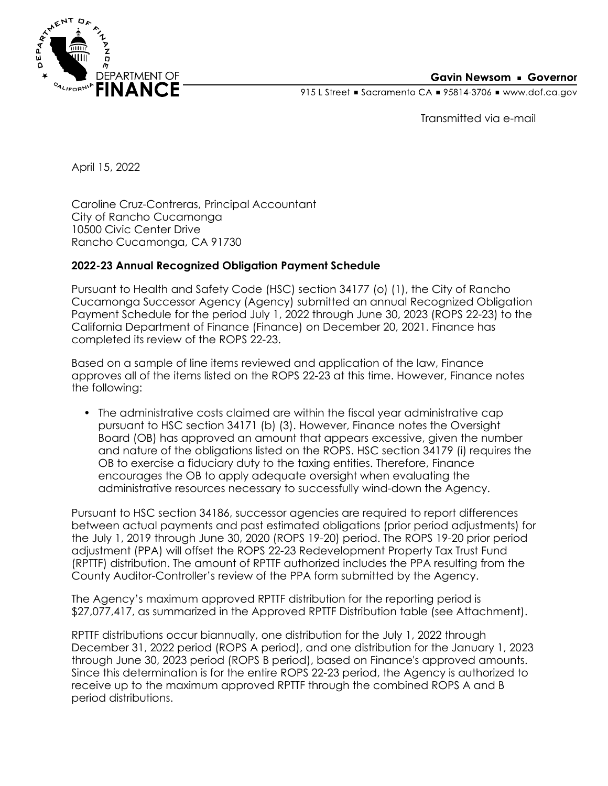

## **Gavin Newsom • Governor**

915 L Street Gacramento CA = 95814-3706 Www.dof.ca.gov

Transmitted via e-mail

April 15, 2022

Caroline Cruz-Contreras, Principal Accountant City of Rancho Cucamonga 10500 Civic Center Drive Rancho Cucamonga, CA 91730

## **2022-23 Annual Recognized Obligation Payment Schedule**

Pursuant to Health and Safety Code (HSC) section 34177 (o) (1), the City of Rancho Cucamonga Successor Agency (Agency) submitted an annual Recognized Obligation Payment Schedule for the period July 1, 2022 through June 30, 2023 (ROPS 22-23) to the California Department of Finance (Finance) on December 20, 2021. Finance has completed its review of the ROPS 22-23.

Based on a sample of line items reviewed and application of the law, Finance approves all of the items listed on the ROPS 22-23 at this time. However, Finance notes the following:

• The administrative costs claimed are within the fiscal year administrative cap pursuant to HSC section 34171 (b) (3). However, Finance notes the Oversight Board (OB) has approved an amount that appears excessive, given the number and nature of the obligations listed on the ROPS. HSC section 34179 (i) requires the OB to exercise a fiduciary duty to the taxing entities. Therefore, Finance encourages the OB to apply adequate oversight when evaluating the administrative resources necessary to successfully wind-down the Agency.

Pursuant to HSC section 34186, successor agencies are required to report differences between actual payments and past estimated obligations (prior period adjustments) for the July 1, 2019 through June 30, 2020 (ROPS 19-20) period. The ROPS 19-20 prior period adjustment (PPA) will offset the ROPS 22-23 Redevelopment Property Tax Trust Fund (RPTTF) distribution. The amount of RPTTF authorized includes the PPA resulting from the County Auditor-Controller's review of the PPA form submitted by the Agency.

The Agency's maximum approved RPTTF distribution for the reporting period is \$27,077,417, as summarized in the Approved RPTTF Distribution table (see Attachment).

RPTTF distributions occur biannually, one distribution for the July 1, 2022 through December 31, 2022 period (ROPS A period), and one distribution for the January 1, 2023 through June 30, 2023 period (ROPS B period), based on Finance's approved amounts. Since this determination is for the entire ROPS 22-23 period, the Agency is authorized to receive up to the maximum approved RPTTF through the combined ROPS A and B period distributions.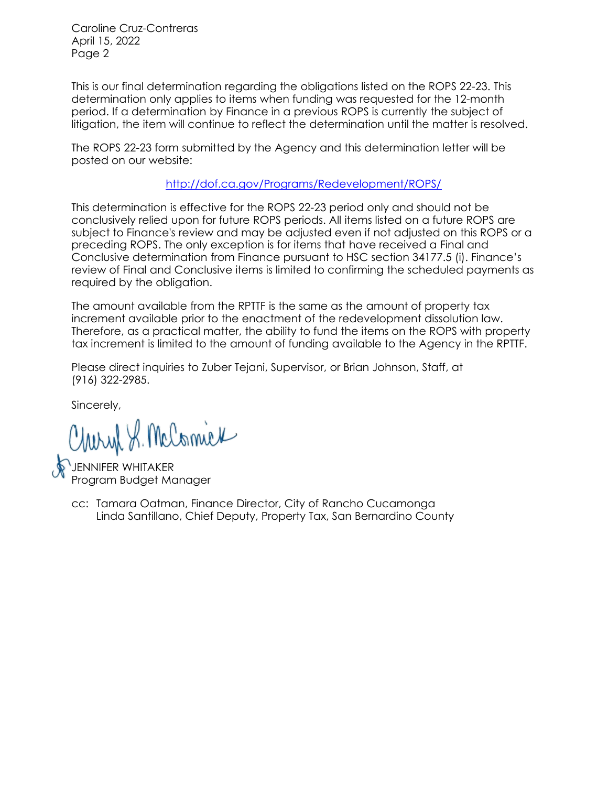Caroline Cruz-Contreras April 15, 2022 Page 2

This is our final determination regarding the obligations listed on the ROPS 22-23. This determination only applies to items when funding was requested for the 12-month period. If a determination by Finance in a previous ROPS is currently the subject of litigation, the item will continue to reflect the determination until the matter is resolved.

The ROPS 22-23 form submitted by the Agency and this determination letter will be posted on our website:

<http://dof.ca.gov/Programs/Redevelopment/ROPS/>

This determination is effective for the ROPS 22-23 period only and should not be conclusively relied upon for future ROPS periods. All items listed on a future ROPS are subject to Finance's review and may be adjusted even if not adjusted on this ROPS or a preceding ROPS. The only exception is for items that have received a Final and Conclusive determination from Finance pursuant to HSC section 34177.5 (i). Finance's review of Final and Conclusive items is limited to confirming the scheduled payments as required by the obligation.

The amount available from the RPTTF is the same as the amount of property tax increment available prior to the enactment of the redevelopment dissolution law. Therefore, as a practical matter, the ability to fund the items on the ROPS with property tax increment is limited to the amount of funding available to the Agency in the RPTTF.

Please direct inquiries to Zuber Tejani, Supervisor, or Brian Johnson, Staff, at (916) 322-2985.

Sincerely,

Charyl S. McComick

JENNIFER WHITAKER Program Budget Manager

Linda Santillano, Chief Deputy, Property Tax, San Bernardino County cc: Tamara Oatman, Finance Director, City of Rancho Cucamonga